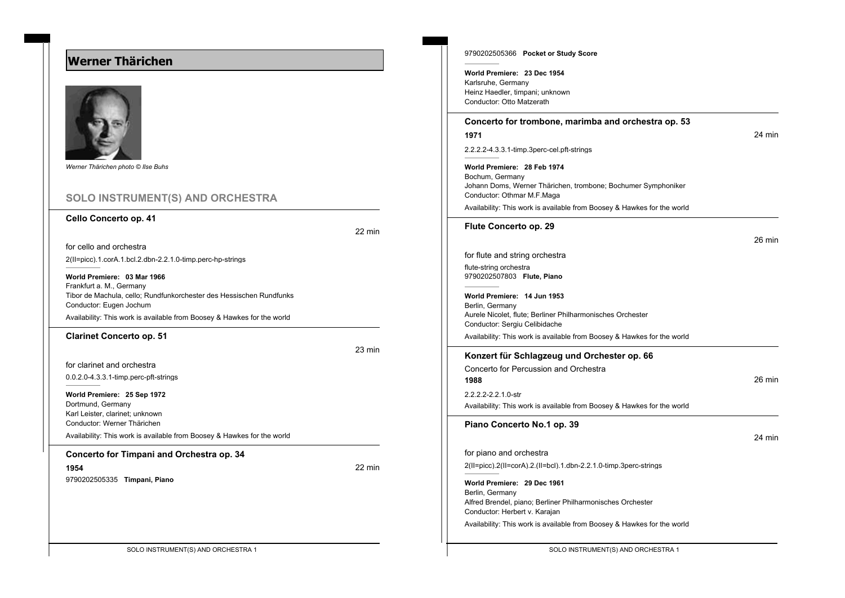# **Werner Thärichen**



*Werner Thärichen photo © Ilse Buhs*

## **SOLO INSTRUMENT(S) AND ORCHESTRA**

#### **Cello Concerto op. 41**

22 min

for cello and orchestra 2(II=picc).1.corA.1.bcl.2.dbn-2.2.1.0-timp.perc-hp-strings

**World Premiere: 03 Mar 1966** Frankfurt a. M., Germany Tibor de Machula, cello; Rundfunkorchester des Hessischen Rundfunks Conductor: Eugen Jochum

Availability: This work is available from Boosey & Hawkes for the world

#### **Clarinet Concerto op. 51**

23 min

for clarinet and orchestra

0.0.2.0-4.3.3.1-timp.perc-pft-strings

**World Premiere: 25 Sep 1972** Dortmund, Germany Karl Leister, clarinet; unknown Conductor: Werner Thärichen Availability: This work is available from Boosey & Hawkes for the world

#### **Concerto for Timpani and Orchestra op. 34**

**1954** 22 min 9790202505335 **Timpani, Piano**

9790202505366 **Pocket or Study Score World Premiere: 23 Dec 1954** Karlsruhe, Germany Heinz Haedler, timpani; unknown Conductor: Otto Matzerath **Concerto for trombone, marimba and orchestra op. 53 1971** 24 min 2.2.2.2-4.3.3.1-timp.3perc-cel.pft-strings **World Premiere: 28 Feb 1974** Bochum, Germany Johann Doms, Werner Thärichen, trombone; Bochumer Symphoniker Conductor: Othmar M.F.Maga Availability: This work is available from Boosey & Hawkes for the world **Flute Concerto op. 29** 26 min for flute and string orchestra flute-string orchestra 9790202507803 **Flute, Piano World Premiere: 14 Jun 1953** Berlin, Germany Aurele Nicolet, flute; Berliner Philharmonisches Orchester Conductor: Sergiu Celibidache Availability: This work is available from Boosey & Hawkes for the world **Konzert für Schlagzeug und Orchester op. 66** Concerto for Percussion and Orchestra **1988** 26 min 2.2.2.2-2.2.1.0-str Availability: This work is available from Boosey & Hawkes for the world **Piano Concerto No.1 op. 39** 24 min for piano and orchestra 2(II=picc).2(II=corA).2.(II=bcl).1.dbn-2.2.1.0-timp.3perc-strings **World Premiere: 29 Dec 1961** Berlin, Germany Alfred Brendel, piano; Berliner Philharmonisches Orchester Conductor: Herbert v. Karajan Availability: This work is available from Boosey & Hawkes for the world

SOLO INSTRUMENT(S) AND ORCHESTRA 1 SOLO INSTRUMENT(S) AND ORCHESTRA 1